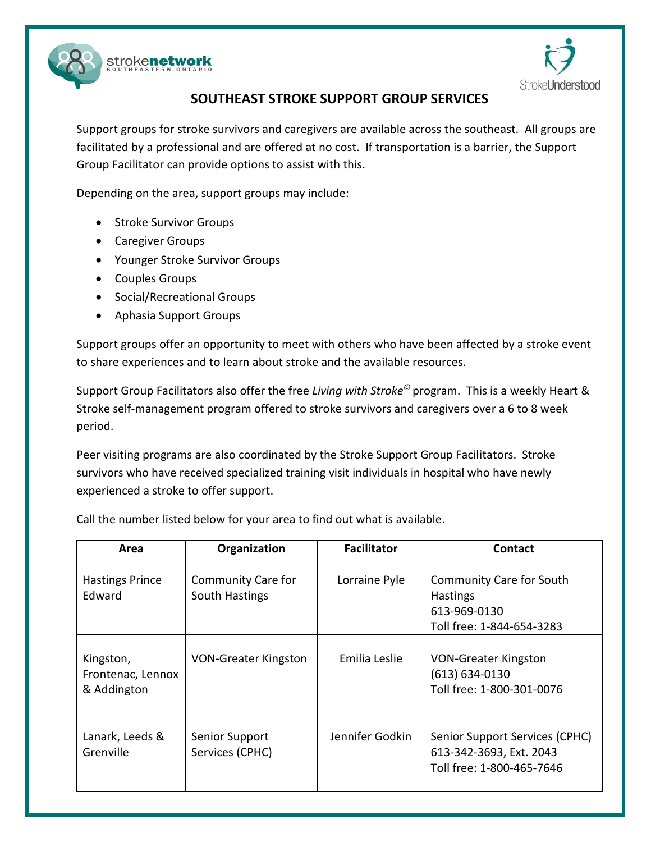



## **SOUTHEAST STROKE SUPPORT GROUP SERVICES**

Support groups for stroke survivors and caregivers are available across the southeast. All groups are facilitated by a professional and are offered at no cost. If transportation is a barrier, the Support Group Facilitator can provide options to assist with this.

Depending on the area, support groups may include:

- **•** Stroke Survivor Groups
- Caregiver Groups
- Younger Stroke Survivor Groups
- Couples Groups
- Social/Recreational Groups
- Aphasia Support Groups

Support groups offer an opportunity to meet with others who have been affected by a stroke event to share experiences and to learn about stroke and the available resources.

Support Group Facilitators also offer the free *Living with Stroke©* program. This is a weekly Heart & Stroke self-management program offered to stroke survivors and caregivers over a 6 to 8 week period.

Peer visiting programs are also coordinated by the Stroke Support Group Facilitators. Stroke survivors who have received specialized training visit individuals in hospital who have newly experienced a stroke to offer support.

Call the number listed below for your area to find out what is available.

| Area                                          | Organization                                | <b>Facilitator</b> | <b>Contact</b>                                                                                  |
|-----------------------------------------------|---------------------------------------------|--------------------|-------------------------------------------------------------------------------------------------|
| <b>Hastings Prince</b><br>Edward              | <b>Community Care for</b><br>South Hastings | Lorraine Pyle      | <b>Community Care for South</b><br><b>Hastings</b><br>613-969-0130<br>Toll free: 1-844-654-3283 |
| Kingston,<br>Frontenac, Lennox<br>& Addington | <b>VON-Greater Kingston</b>                 | Emilia Leslie      | <b>VON-Greater Kingston</b><br>(613) 634-0130<br>Toll free: 1-800-301-0076                      |
| Lanark, Leeds &<br>Grenville                  | Senior Support<br>Services (CPHC)           | Jennifer Godkin    | Senior Support Services (CPHC)<br>613-342-3693, Ext. 2043<br>Toll free: 1-800-465-7646          |